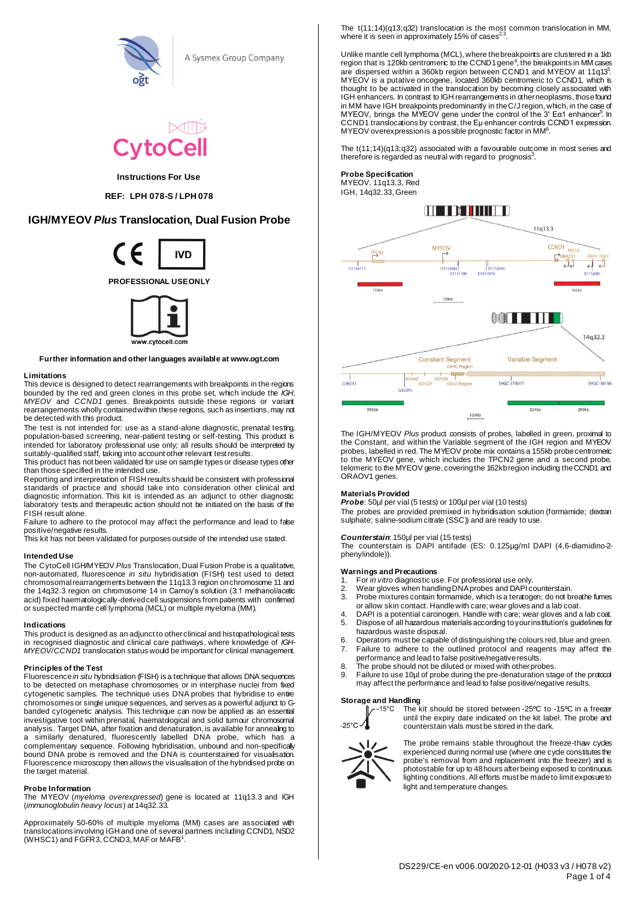

A Sysmex Group Company



# **Instructions For Use**

**REF: LPH 078-S / LPH 078** 

# **IGH/MYEOV** *Plus* **Translocation, Dual Fusion Probe**



**PROFESSIONAL USE ONLY**



**Further information and other languages available at www.ogt.com**

# **Limitations**

This device is designed to detect rearrangements with breakpoints in the regions bounded by the red and green clones in this probe set, which include the *IGH*, *MYEOV* and *CCND1* genes. Breakpoints outside these regions or variant rearrangements wholly contained within these regions, such as insertions, may not be detected with this product.

The test is not intended for: use as a stand-alone diagnostic, prenatal testing, population-based screening, near-patient testing or self-testing. This product is intended for laboratory professional use only; all results should be interpreted by suitably-qualified staff, taking into account other relevant test results.

This product has not been validated for use on sample types or disease types other than those specified in the intended use.

Reporting and interpretation of FISH results should be consistent with professional standards of practice and should take into consideration other clinical and diagnostic information. This kit is intended as an adjunct to other diagnostic laboratory tests and therapeutic action should not be initiated on the basis of the FISH result alone.

Failure to adhere to the protocol may affect the performance and lead to false positive/negative results.

This kit has not been validated for purposes outside of the intended use stated.

# **Intended Use**

The CytoCell IGH/MYEOV *Plus* Translocation, Dual Fusion Probe is a qualitative, non-automated, fluorescence *in situ* hybridisation (FISH) test used to detect chromosomal rearrangements between the 11q13.3 region on chromosome 11 and the 14q32.3 region on chromosome 14 in Carnoy's solution (3:1 methanol/acetic acid) fixed haematologically-derived cell suspensions from patients with confirmed or suspected mantle cell lymphoma (MCL) or multiple myeloma (MM).

#### **Indications**

This product is designed as an adjunct to other clinical and histopathological tests in recognised diagnostic and clinical care pathways, where knowledge of *IGH-MYEOV/CCND1* translocation status would be important for clinical management.

### **Principles of the Test**

Fluorescence *in situ* hybridisation (FISH) is a technique that allows DNA sequences to be detected on metaphase chromosomes or in interphase nuclei from fixed cytogenetic samples. The technique uses DNA probes that hybridise to entire chromosomes or single unique sequences, and serves as a powerful adjunct to Gbanded cytogenetic analysis. This technique can now be applied as an essential investigative tool within prenatal, haematdogical and solid tumour chromosomal analysis. Target DNA, after fixation and denaturation, is available for annealing to a similarly denatured. fluorescently labelled DNA probe, which has a similarly denatured, fluorescently labelled DNA probe, which has a complementary sequence. Following hybridisation, unbound and non-specifically bound DNA probe is removed and the DNA is counterstained for visualisation. Fluorescence microscopy then allows the visualisation of the hybridised probe on the target material.

# **Probe Information**

The MYEOV (*myeloma overexpressed*) gene is located at 11q13.3 and IGH (*immunoglobulin heavy locus*) at 14q32.33.

Approximately 50-60% of multiple myeloma (MM) cases are associated with translocations involving IGH and one of several partners including CCND1, NSD2<br>(WHSC1) and FGFR3, CCND3, MAF or MAFB<sup>1</sup>. The t(11;14)(q13;q32) translocation is the most common translocation in MM, where it is seen in approximately 15% of cases<sup>2,3</sup> .

Unlike mantle cell lymphoma (MCL), where the breakpoints are clustered in a 1kb<br>region that is 120kb centromeric to the CCND1 gene<sup>4</sup>, the breakpoints in MM cases are dispersed within a 360kb region between CCND1 and MYEOV at 11q13<sup>5</sup>. MYEOV is a putative oncogene, located 360kb centromeric to CCND1, which is thought to be activated in the translocation by becoming closely associated with IGH enhancers. In contrast to IGH rearrangements in other neoplasms, those found in MM have IGH breakpoints predominantly in theC/J region, which, in the case of<br>MYEOV, brings the MYEOV gene under the control of the 3' Eα1 enhancer<sup>5</sup>. In CCND1 translocations by contrast, the Eµ enhancer controls CCND1 expression. MYEOV overexpression is a possible prognostic factor in MM<sup>6</sup>.

The t(11;14)(q13;q32) associated with a favourable outcome in most series and therefore is regarded as neutral with regard to prognosis $3$ .

#### **Probe Specification** MYEOV, 11q13.3, Red IGH, 14q32.33, Green



The IGH/MYEOV *Plus* product consists of probes, labelled in green, proximal to the Constant, and within the Variable segment of the IGH region and MYEOV probes, labelled in red. The MYEOV probe mix contains a 155kb probe centromeric to the MYEOV gene, which includes the TPCN2 gene and a second probe, telomeric to the MYEOV gene, covering the 162kb region including the CCND1 and ORAOV1 genes.

# **Materials Provided**

*Probe*: 50µl per vial (5 tests) or 100µl per vial (10 tests)

The probes are provided premixed in hybridisation solution (formamide; dextran sulphate; saline-sodium citrate (SSC)) and are ready to use.

# *Counterstain*: 150µl per vial (15 tests)

The counterstain is DAPI antifade (ES: 0.125µg/ml DAPI (4,6-diamidino-2phenylindole)).

# **Warnings and Precautions**

- 1. For *in vitro* diagnostic use. For professional use only.
- 2. Wear gloves when handling DNA probes and DAPI counterstain.
- 3. Probe mixtures contain formamide, which is a teratogen; do not breathe fumes or allow skin contact. Handle with care; wear gloves and a lab coat.
- 4. DAPI is a potential carcinogen. Handle with care; wear gloves and a lab coat.<br>5. Dispose of all hazardous materials according to your institution's quidelines for 5. Dispose of all hazardous materials according to your institution's guidelines for
- hazardous waste disposal.
- 6. Operators must be capable of distinguishing the colours red, blue and green. 7. Failure to adhere to the outlined protocol and reagents may affect the
- performance and lead to false positive/negative results.
- 8. The probe should not be diluted or mixed with other probes.
- 9. Failure to use 10µl of probe during the pre-denaturation stage of the protocol may affect the performance and lead to false positive/negative results.

# **Storage and Handling**<br>**C** The k



The kit should be stored between -25ºC to -15ºC in a freezer until the expiry date indicated on the kit label. The probe and counterstain vials must be stored in the dark.



The probe remains stable throughout the freeze-thaw cycles experienced during normal use (where one cycle constitutes the probe's removal from and replacement into the freezer) and is photostable for up to 48 hours after being exposed to continuous lighting conditions. All efforts must be made to limit exposure to light and temperature changes.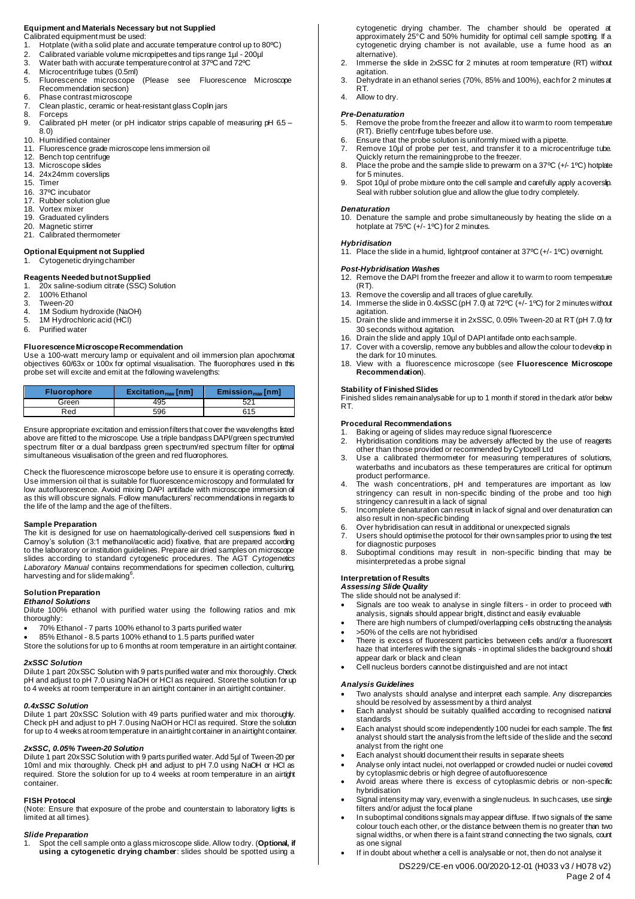# **Equipment and Materials Necessary but not Supplied**

- Calibrated equipment must be used:<br>1 Hotplate (with a solid plate and a
- 1. Hotplate (with a solid plate and accurate temperature control up to 80°C)<br>2. Calibrated variable volume micropipettes and tips range 1ul 200ul
- 2. Calibrated variable volume micropipettes and tips range 1µl 200µl<br>3. Water bath with accurate temperature control at 37°C and 72°C
- 3. Water bath with accurate temperature control at 37ºC and 72ºC
- 
- 4. Microcentrifuge tubes (0.5ml)<br>5. Fluorescence microscope 5. Fluorescence microscope (Please see Fluorescence Microscope Recommendation section)
- 6. Phase contrast microscope
- 7. Clean plastic, ceramic or heat-resistant glass Coplin jars
- 8. Forceps<br>9. Calibrate
- Calibrated pH meter (or pH indicator strips capable of measuring pH 6.5 8.0)
- 10. Humidified container
- 11. Fluorescence grade microscope lens immersion oil<br>12. Bench top centrifuge
- 12. Bench top centrifuge
- 13. Microscope slides
- 14. 24x24mm coverslips **Timer**
- 
- 16. 37°C incubator<br>17. Rubber solution 17. Rubber solution glue<br>18. Vortex mixer
- 18. Vortex mixer<br>19. Graduated cy
- Graduated cylinders 20. Magnetic stirrer
- 21. Calibrated thermometer
- 

#### **Optional Equipment not Supplied** Cytogenetic drying chamber

# **Reagents Needed but not Supplied**

- 1. 20x saline-sodium citrate (SSC) Solution
- 2. 100% Ethanol
- 3. Tween-20<br>4. 1M Sodium
- 4. 1M Sodium hydroxide (NaOH)<br>5. 1M Hydrochloric acid (HCI)
- 5. 1M Hydrochloric acid (HCl)<br>6. Purified water
- Purified water

# **Fluorescence Microscope Recommendation**

Use a 100-watt mercury lamp or equivalent and oil immersion plan apochromat objectives 60/63x or 100x for optimal visualisation. The fluorophores used in this probe set will excite and emit at the following wavelengths:

| <b>Fluorophore</b> | Exciation <sub>max</sub> [nm] | $Emission_{max}[nm]$ |
|--------------------|-------------------------------|----------------------|
| Green              | 495                           | 52'                  |
| Red                | 596                           | 615                  |

Ensure appropriate excitation and emission filters that cover the wavelengths listed above are fitted to the microscope. Use a triple bandpass DAPI/green spectrum/red spectrum filter or a dual bandpass green spectrum/red spectrum filter for optimal simultaneous visualisation of the green and red fluorophores.

Check the fluorescence microscope before use to ensure it is operating correctly. Use immersion oil that is suitable for fluorescence microscopy and formulated for low autofluorescence. Avoid mixing DAPI antifade with microscope immersion oil as this will obscure signals. Follow manufacturers' recommendations in regards to the life of the lamp and the age of the filters.

# **Sample Preparation**

The kit is designed for use on haematologically-derived cell suspensions fixed in Carnoy's solution (3:1 methanol/acetic acid) fixative, that are prepared according to the laboratory or institution guidelines. Prepare air dried samples on microscope slides according to standard cytogenetic procedures. The AGT *Cytogenetics Laboratory Manual* contains recommendations for specimen collection, culturing, harvesting and for slide making<sup>6</sup>.

# **Solution Preparation**

# *Ethanol Solutions*

Dilute 100% ethanol with purified water using the following ratios and mix thoroughly:

- 70% Ethanol 7 parts 100% ethanol to 3 parts purified water
- 85% Ethanol 8.5 parts 100% ethanol to 1.5 parts purified water
- Store the solutions for up to 6 months at room temperature in an airtight container.

# *2xSSC Solution*

Dilute 1 part 20xSSC Solution with 9 parts purified water and mix thoroughly. Check pH and adjust to pH 7.0 using NaOH or HCl as required. Store the solution for up to 4 weeks at room temperature in an airtight container in an airtight container.

#### *0.4xSSC Solution*

Dilute 1 part 20xSSC Solution with 49 parts purified water and mix thoroughly. Check pH and adjust to pH 7.0 using NaOH or HCl as required. Store the solution for up to 4 weeks at room temperature in an airtight container in an airtight container.

# *2xSSC, 0.05% Tween-20 Solution*

Dilute 1 part 20xSSC Solution with 9 parts purified water. Add 5µl of Tween-20 per 10ml and mix thoroughly. Check pH and adjust to pH 7.0 using NaOH or HCl as required. Store the solution for up to 4 weeks at room temperature in an airtight container.

#### **FISH Protocol**

(Note: Ensure that exposure of the probe and counterstain to laboratory lights is limited at all times).

#### *Slide Preparation*

1. Spot the cell sample onto a glass microscope slide. Allow to dry. (**Optional, if using a cytogenetic drying chamber**: slides should be spotted using a cytogenetic drying chamber. The chamber should be operated at approximately 25°C and 50% humidity for optimal cell sample spotting. If a cytogenetic drying chamber is not available, use a fume hood as an alternative).

- 2. Immerse the slide in 2xSSC for 2 minutes at room temperature (RT) without agitation.
- 3. Dehydrate in an ethanol series (70%, 85% and 100%), each for 2 minutes at RT.
- 4. Allow to dry.

- *Pre-Denaturation*<br>5. Remove the pr 5. Remove the probe from the freezer and allow it to warm to room temperature (RT). Briefly centrifuge tubes before use.
- 6. Ensure that the probe solution is uniformly mixed with a pipette.
- Remove 10µl of probe per test, and transfer it to a microcentrifuge tube. Quickly return the remaining probe to the freezer.
- 8. Place the probe and the sample slide to prewarm on a 37ºC (+/- 1ºC) hotplate for 5 minutes. Spot 10µl of probe mixture onto the cell sample and carefully apply a coverslip.
- Seal with rubber solution glue and allow the glue to dry completely.

#### *Denaturation*

10. Denature the sample and probe simultaneously by heating the slide on a hotplate at 75ºC (+/- 1ºC) for 2 minutes.

#### *Hybridisation*

11. Place the slide in a humid, lightproof container at 37ºC (+/- 1ºC) overnight.

# *Post-Hybridisation Washes*

- 12. Remove the DAPI from the freezer and allow it to warm to room temperature  $(RT)$ .
- 13. Remove the coverslip and all traces of glue carefully.
- 14. Immerse the slide in 0.4xSSC (pH 7.0) at 72ºC (+/- 1ºC) for 2 minutes without agitation.
- 15. Drain the slide and immerse it in 2xSSC, 0.05% Tween-20 at RT (pH 7.0) for 30 seconds without agitation.
- 16. Drain the slide and apply 10µl of DAPI antifade onto each sample.
- 17. Cover with a coverslip, remove any bubbles and allow the colour to develop in
- the dark for 10 minutes. 18. View with a fluorescence microscope (see **Fluorescence Microscope Recommendation**).

# **Stability of Finished Slides**

Finished slides remain analysable for up to 1 month if stored in the dark at/or below RT.

#### **Procedural Recommendations**

- 1. Baking or ageing of slides may reduce signal fluorescence<br>2. Hybridisation conditions may be adversely affected by the
- Hybridisation conditions may be adversely affected by the use of reagents other than those provided or recommended by Cytocell Ltd
- 3. Use a calibrated thermometer for measuring temperatures of solutions, waterbaths and incubators as these temperatures are critical for optimum product performance.
- 4. The wash concentrations, pH and temperatures are important as low stringency can result in non-specific binding of the probe and too high stringency can result in a lack of signal
- 5. Incomplete denaturation can result in lack of signal and over denaturation can also result in non-specific binding
- 6. Over hybridisation can result in additional or unexpected signals<br>7. Users should optimise the protocol for their own samples prior to
- Users should optimise the protocol for their own samples prior to using the test
- for diagnostic purposes 8. Suboptimal conditions may result in non-specific binding that may be misinterpreted as a probe signal

#### **Interpretation of Results**

*Assessing Slide Quality*

The slide should not be analysed if:

- Signals are too weak to analyse in single filters in order to proceed with analysis, signals should appear bright, distinct and easily evaluable
- There are high numbers of clumped/overlapping cells obstructing the analysis • >50% of the cells are not hybridised
- There is excess of fluorescent particles between cells and/or a fluorescent haze that interferes with the signals - in optimal slides the background should appear dark or black and clean
- Cell nucleus borders cannot be distinguished and are not intact

#### *Analysis Guidelines*

as one signal

- Two analysts should analyse and interpret each sample. Any discrepancies should be resolved by assessment by a third analyst
- Each analyst should be suitably qualified according to recognised national standards
- Each analyst should score independently 100 nuclei for each sample. The first analyst should start the analysis from the left side of the slide and the second analyst from the right one
- Each analyst should document their results in separate sheets
- Analyse only intact nuclei, not overlapped or crowded nuclei or nuclei covered

filters and/or adjust the focal plane

by cytoplasmic debris or high degree of autofluorescence • Avoid areas where there is excess of cytoplasmic debris or non-specific hybridisation

Signal intensity may vary, even with a single nucleus. In such cases, use single

In suboptimal conditions signals may appear diffuse. If two signals of the same colour touch each other, or the distance between them is no greater than two signal widths, or when there is a faint strand connecting the two signals, count

• If in doubt about whether a cell is analysable or not, then do not analyse it

DS229/CE-en v006.00/2020-12-01 (H033 v3 / H078 v2)

Page 2 of 4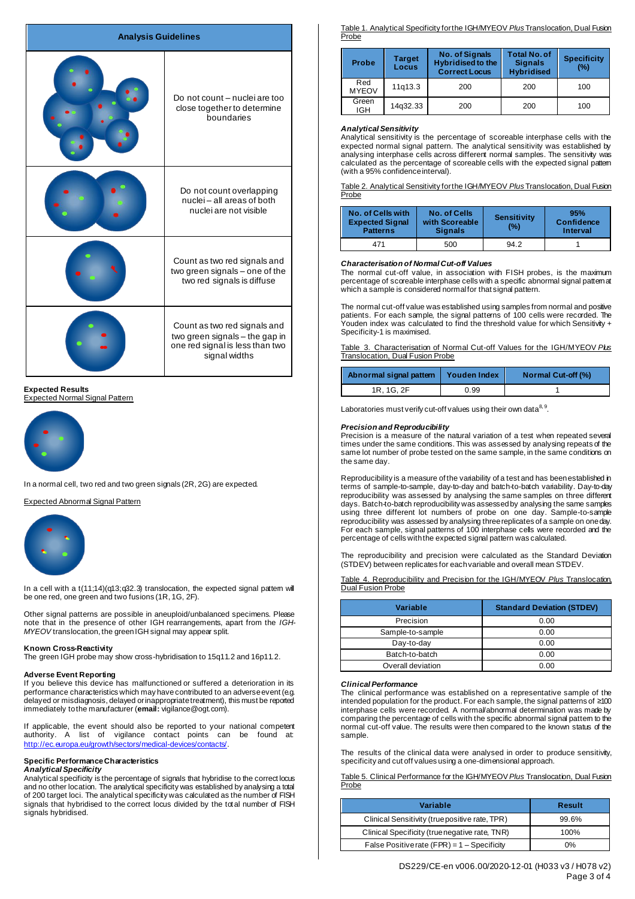| <b>Analysis Guidelines</b> |                                                                                                                    |
|----------------------------|--------------------------------------------------------------------------------------------------------------------|
|                            | Do not count - nuclei are too<br>close together to determine<br>boundaries                                         |
|                            | Do not count overlapping<br>nuclei - all areas of both<br>nuclei are not visible                                   |
|                            | Count as two red signals and<br>two green signals - one of the<br>two red signals is diffuse                       |
|                            | Count as two red signals and<br>two green signals - the gap in<br>one red signal is less than two<br>signal widths |

**Expected Results** .<br>xpected Normal Signal Pattern



In a normal cell, two red and two green signals (2R, 2G) are expected.

Expected Abnormal Signal Pattern



In a cell with a  $t(11;14)(q13;q32.3)$  translocation, the expected signal pattem will be one red, one green and two fusions (1R, 1G, 2F).

Other signal patterns are possible in aneuploid/unbalanced specimens. Please note that in the presence of other IGH rearrangements, apart from the *IGH-MYEOV* translocation, the green IGH signal may appear split.

# **Known Cross-Reactivity**

The green IGH probe may show cross-hybridisation to 15q11.2 and 16p11.2.

# **Adverse Event Reporting**

If you believe this device has malfunctioned or suffered a deterioration in its performance characteristics which may have contributed to an adverse event (e.g. delayed or misdiagnosis, delayed or inappropriate treatment), this must be reported immediately to the manufacturer (**email:** vigilance@ogt.com).

If applicable, the event should also be reported to your national competent authority. A list of vigilance contact points can be found at: <http://ec.europa.eu/growth/sectors/medical-devices/contacts/>.

#### **Specific Performance Characteristics** *Analytical Specificity*

Analytical specificity is the percentage of signals that hybridise to the correct locus and no other location. The analytical specificity was established by analysing a total of 200 target loci. The analytical specificity was calculated as the number of FISH signals that hybridised to the correct locus divided by the total number of FISH signals hybridised.

Table 1. Analytical Specificity for the IGH/MYEOV *Plus* Translocation, Dual Fusion Probe

| <b>Probe</b>        | Target<br>Locus | <b>No. of Signals</b><br><b>Hybridised to the</b><br><b>Correct Locus</b> | <b>Total No. of</b><br><b>Signals</b><br><b>Hybridised</b> | <b>Specificity</b><br>(%) |
|---------------------|-----------------|---------------------------------------------------------------------------|------------------------------------------------------------|---------------------------|
| Red<br><b>MYEOV</b> | 11q13.3         | 200                                                                       | 200                                                        | 100                       |
| Green<br>IGH.       | 14q32.33        | 200                                                                       | 200                                                        | 100                       |

# *Analytical Sensitivity*

Analytical sensitivity is the percentage of scoreable interphase cells with the expected normal signal pattern. The analytical sensitivity was established by analysing interphase cells across different normal samples. The sensitivity was calculated as the percentage of scoreable cells with the expected signal pattern (with a 95% confidence interval).

Table 2. Analytical Sensitivity for the IGH/MYEOV *Plus* Translocation, Dual Fusion Probe

| No. of Cells with<br><b>Expected Signal</b><br><b>Patterns</b> | No. of Cells<br>with Scoreable<br><b>Signals</b> | <b>Sensitivity</b><br>(%) | 95%<br><b>Confidence</b><br>Interval |
|----------------------------------------------------------------|--------------------------------------------------|---------------------------|--------------------------------------|
| 471                                                            | 500                                              | 94.2                      |                                      |

# *Characterisation of Normal Cut-off Values*

The normal cut-off value, in association with FISH probes, is the maximum percentage of scoreable interphase cells with a specific abnormal signal patternat which a sample is considered normal for that signal pattern.

The normal cut-off value was established using samples from normal and positive patients. For each sample, the signal patterns of 100 cells were recorded. The Youden index was calculated to find the threshold value for which Sensitivity + Specificity-1 is maximised.

Table 3. Characterisation of Normal Cut-off Values for the IGH/MYEOV *Plus* Translocation, Dual Fusion Probe

| Abnormal signal pattern | Youden Index | Normal Cut-off (%) |
|-------------------------|--------------|--------------------|
| 1R. 1G. 2F              | 0.99         |                    |

Laboratories must verify cut-off values using their own data<sup>8, 9</sup>.

# *Precision and Reproducibility*

Precision is a measure of the natural variation of a test when repeated several times under the same conditions. This was assessed by analysing repeats of the same lot number of probe tested on the same sample, in the same conditions on the same day.

Reproducibility is a measure of the variability of a test and has been established in terms of sample-to-sample, day-to-day and batch-to-batch variability. Day-to-day reproducibility was assessed by analysing the same samples on three different days. Batch-to-batch reproducibility was assessed by analysing the same samples using three different lot numbers of probe on one day. Sample-to-sample reproducibility was assessed by analysing three replicates of a sample on one day. For each sample, signal patterns of 100 interphase cells were recorded and the percentage of cells with the expected signal pattern was calculated.

The reproducibility and precision were calculated as the Standard Deviation (STDEV) between replicates for each variable and overall mean STDEV.

Table 4. Reproducibility and Precision for the IGH/MYEOV *Plus* Translocation, Fusion Probe

| Variable          | <b>Standard Deviation (STDEV)</b> |
|-------------------|-----------------------------------|
| Precision         | 0.00                              |
| Sample-to-sample  | 0.00                              |
| Day-to-day        | 0.00                              |
| Batch-to-batch    | 0.00                              |
| Overall deviation | 0.00                              |

# *Clinical Performance*

The clinical performance was established on a representative sample of the intended population for the product. For each sample, the signal patterns of ≥100 interphase cells were recorded. A normal/abnormal determination was made by comparing the percentage of cells with the specific abnormal signal pattem to the normal cut-off value. The results were then compared to the known status of the sample.

The results of the clinical data were analysed in order to produce sensitivity, specificity and cut off values using a one-dimensional approach.

Table 5. Clinical Performance for the IGH/MYEOV *Plus* Translocation, Dual Fusion Probe

| Variable                                       | Result |
|------------------------------------------------|--------|
| Clinical Sensitivity (true positive rate, TPR) | 99.6%  |
| Clinical Specificity (true negative rate, TNR) | 100%   |
| False Positive rate $(FPR) = 1 -$ Specificity  | 0%     |